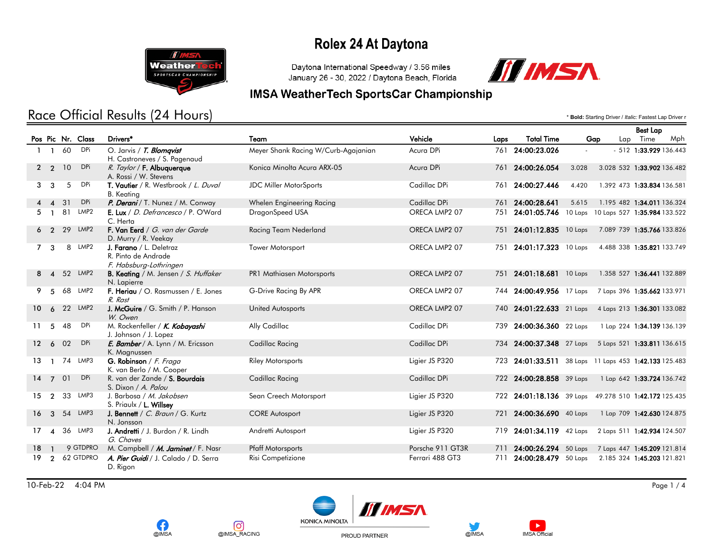

#### Race Official Results (24 Hours)

Daytona International Speedway / 3.56 miles January 26 - 30, 2022 / Daytona Beach, Florida



\* **Bold:** Starting Driver / *Italic:* Fastest Lap Driver r

#### **IMSA WeatherTech SportsCar Championship**

|                 |                        |    |                   |                                                                          |                                     |                  |      |                                                       |       |                                      | <b>Best Lap</b>        |     |
|-----------------|------------------------|----|-------------------|--------------------------------------------------------------------------|-------------------------------------|------------------|------|-------------------------------------------------------|-------|--------------------------------------|------------------------|-----|
|                 |                        |    | Pos Pic Nr. Class | Drivers*                                                                 | Team                                | Vehicle          | Laps | <b>Total Time</b>                                     | Gap   |                                      | Lap Time               | Mph |
|                 | $\mathbf{1}$           | 60 | <b>DPi</b>        | O. Jarvis / T. Blomqvist<br>H. Castroneves / S. Pagenaud                 | Meyer Shank Racing W/Curb-Agajanian | Acura DPi        |      | 761 24:00:23.026                                      |       |                                      | - 512 1:33.929 136.443 |     |
|                 | $2\quad 2$             | 10 | <b>DPi</b>        | R. Taylor / F. Albuquerque<br>A. Rossi / W. Stevens                      | Konica Minolta Acura ARX-05         | Acura DPi        |      | 761 24:00:26.054                                      | 3.028 | 3.028 532 1:33.902 136.482           |                        |     |
| 3               | 3                      | 5  | <b>DPi</b>        | T. Vautier / R. Westbrook / L. Duval<br><b>B.</b> Keating                | <b>JDC Miller MotorSports</b>       | Cadillac DPi     |      | 761 24:00:27.446                                      | 4.420 | 1.392 473 1:33.834 136.581           |                        |     |
|                 | $\boldsymbol{\Lambda}$ | 31 | <b>DPi</b>        | P. Derani / T. Nunez / M. Conway                                         | Whelen Engineering Racing           | Cadillac DPi     |      | 761 24:00:28.641                                      | 5.615 | 1.195 482 1:34.011 136.324           |                        |     |
|                 |                        | 81 | LMP2              | E. Lux / D. Defrancesco / P. O'Ward<br>C. Herta                          | DragonSpeed USA                     | ORECA LMP2 07    |      | 751 24:01:05.746                                      |       | 10 Laps 10 Laps 527 1:35.984 133.522 |                        |     |
|                 | 6 2                    | 29 | LMP2              | F. Van Eerd / G. van der Garde<br>D. Murry / R. Veekay                   | Racing Team Nederland               | ORECA LMP2 07    |      | 751 24:01:12.835 10 Laps                              |       | 7.089 739 1:35.766 133.826           |                        |     |
| $\overline{7}$  | 3                      |    | 8 LMP2            | J. Farano / L. Deletraz<br>R. Pinto de Andrade<br>F. Habsburg-Lothringen | Tower Motorsport                    | ORECA LMP2 07    |      | 751 24:01:17.323 10 Laps                              |       | 4.488 338 1:35.821 133.749           |                        |     |
|                 | $8 \quad 4$            |    | 52 LMP2           | <b>B. Keating</b> / M. Jensen / S. Huffaker<br>N. Lapierre               | <b>PR1 Mathiasen Motorsports</b>    | ORECA LMP2 07    |      | 751 24:01:18.681 10 Laps                              |       | 1.358 527 1:36.441 132.889           |                        |     |
| 9               | 5                      | 68 | LMP2              | F. Heriau / O. Rasmussen / E. Jones<br>R. Rast                           | G-Drive Racing By APR               | ORECA LMP2 07    |      | 744 24:00:49.956 17 Laps                              |       | 7 Laps 396 1:35.662 133.971          |                        |     |
| 10 <sup>°</sup> | 6                      |    | 22 LMP2           | J. McGuire / G. Smith / P. Hanson<br>W. Owen                             | <b>United Autosports</b>            | ORECA LMP2 07    |      | 740 24:01:22.633 21 Laps                              |       | 4 Laps 213 1:36.301 133.082          |                        |     |
| 11              | 5                      | 48 | <b>DPi</b>        | M. Rockenfeller / K. Kobayashi<br>J. Johnson / J. Lopez                  | Ally Cadillac                       | Cadillac DPi     |      | 739 24:00:36.360 22 Laps                              |       | 1 Lap 224 1:34.139 136.139           |                        |     |
| 12 <sup>2</sup> | 6                      | 02 | <b>DPi</b>        | E. Bamber / A. Lynn / M. Ericsson<br>K. Magnussen                        | Cadillac Racing                     | Cadillac DPi     |      | 734 24:00:37.348 27 Laps 5 Laps 521 1:33.811 136.615  |       |                                      |                        |     |
| 13              |                        |    | 74 LMP3           | G. Robinson / F. Fraga<br>K. van Berlo / M. Cooper                       | <b>Riley Motorsports</b>            | Ligier JS P320   |      | 723 24:01:33.511 38 Laps 11 Laps 453 1:42.133 125.483 |       |                                      |                        |     |
| 14              | $\overline{7}$         | 01 | <b>DPi</b>        | R. van der Zande / S. Bourdais<br>S. Dixon / A. Palou                    | Cadillac Racing                     | Cadillac DPi     |      | 722 24:00:28.858 39 Laps                              |       | 1 Lap 642 1:33.724 136.742           |                        |     |
| 15              | $\overline{2}$         | 33 | LMP3              | J. Barbosa / M. Jakobsen<br>S. Priaulx / L. Willsey                      | Sean Creech Motorsport              | Ligier JS P320   |      | 722 24:01:18.136 39 Laps 49.278 510 1:42.172 125.435  |       |                                      |                        |     |
| 16              | $\mathbf{3}$           |    | 54 LMP3           | J. Bennett / C. Braun / G. Kurtz<br>N. Jonsson                           | <b>CORE Autosport</b>               | Ligier JS P320   | 721  | 24:00:36.690 40 Laps                                  |       | 1 Lap 709 1:42.630 124.875           |                        |     |
| 17              | $\boldsymbol{\Lambda}$ |    | 36 LMP3           | J. Andretti / J. Burdon / R. Lindh<br>G. Chaves                          | Andretti Autosport                  | Ligier JS P320   |      | 719 24:01:34.119 42 Laps                              |       | 2 Laps 511 1:42.934 124.507          |                        |     |
| 18              |                        |    | 9 GTDPRO          | M. Campbell / M. Jaminet / F. Nasr                                       | <b>Pfaff Motorsports</b>            | Porsche 911 GT3R |      | 711 24:00:26.294 50 Laps 7 Laps 447 1:45.209 121.814  |       |                                      |                        |     |
| 19              | $\overline{2}$         |    | 62 GTDPRO         | A. Pier Guidi / J. Calado / D. Serra<br>D. Rigon                         | Risi Competizione                   | Ferrari 488 GT3  |      | 24:00:28.479 50 Laps                                  |       | 2.185 324 1:45.203 121.821           |                        |     |

10-Feb-22 4:04 PM Page 1 / 4











PROUD PARTNER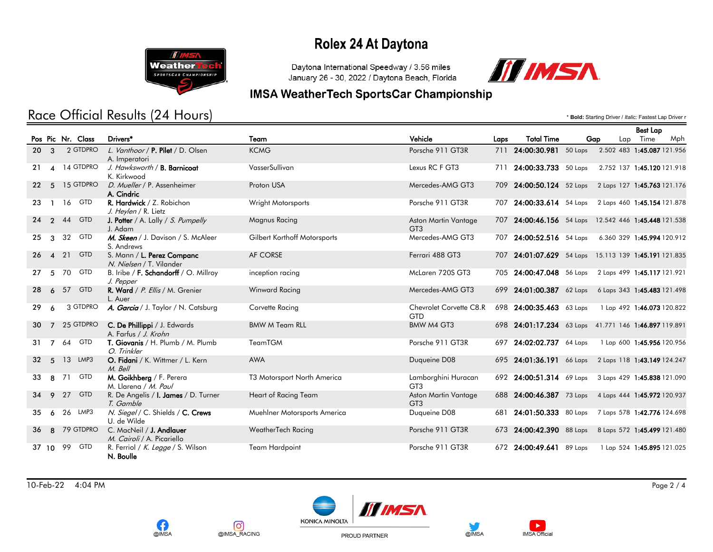

### Race Official Results (24 Hours)

Daytona International Speedway / 3.56 miles January 26 - 30, 2022 / Daytona Beach, Florida



\* **Bold:** Starting Driver / *Italic:* Fastest Lap Driver r

#### **IMSA WeatherTech SportsCar Championship**

|    |                        |    |                   |                                                           |                              |                                         |      |                                                      |     | <b>Best Lap</b>             |     |
|----|------------------------|----|-------------------|-----------------------------------------------------------|------------------------------|-----------------------------------------|------|------------------------------------------------------|-----|-----------------------------|-----|
|    |                        |    | Pos Pic Nr. Class | Drivers*                                                  | Team                         | Vehicle                                 | Laps | <b>Total Time</b>                                    | Gap | Lap Time                    | Mph |
|    | $20 \quad 3$           |    | 2 GTDPRO          | L. Vanthoor / <b>P. Pilet</b> / D. Olsen<br>A. Imperatori | <b>KCMG</b>                  | Porsche 911 GT3R                        |      | 711 24:00:30.981 50 Laps                             |     | 2.502 483 1:45.087 121.956  |     |
| 21 | $\boldsymbol{\Lambda}$ |    | 14 GTDPRO         | J. Hawksworth / B. Barnicoat<br>K. Kirkwood               | VasserSullivan               | Lexus RC F GT3                          |      | 711 24:00:33.733 50 Laps                             |     | 2.752 137 1:45.120 121.918  |     |
|    | $22 \quad 5$           |    | 15 GTDPRO         | D. Mueller / P. Assenheimer<br>A. Cindric                 | Proton USA                   | Mercedes-AMG GT3                        |      | 709 24:00:50.124 52 Laps 2 Laps 127 1:45.763 121.176 |     |                             |     |
| 23 | $\blacksquare$         |    | 16 GTD            | R. Hardwick / Z. Robichon<br>J. Heylen / R. Lietz         | Wright Motorsports           | Porsche 911 GT3R                        |      | 707 24:00:33.614 54 Laps 2 Laps 460 1:45.154 121.878 |     |                             |     |
| 24 | $\overline{2}$         | 44 | <b>GTD</b>        | <b>J. Potter</b> / A. Lally / S. Pumpelly<br>J. Adam      | Magnus Racing                | Aston Martin Vantage<br>GT <sub>3</sub> |      | 707 24:00:46.156 54 Laps 12.542 446 1:45.448 121.538 |     |                             |     |
| 25 | 3                      |    | 32 GTD            | M. Skeen / J. Davison / S. McAleer<br>S. Andrews          | Gilbert Korthoff Motorsports | Mercedes-AMG GT3                        |      | 707 24:00:52.516 54 Laps                             |     | 6.360 329 1:45.994 120.912  |     |
|    | $26 \quad 4$           |    | 21 GTD            | S. Mann / L. Perez Companc<br>N. Nielsen / T. Vilander    | AF CORSE                     | Ferrari 488 GT3                         |      | 707 24:01:07.629 54 Laps 15.113 139 1:45.191 121.835 |     |                             |     |
| 27 | 5                      |    | 70 GTD            | B. Iribe / F. Schandorff / O. Millroy<br>J. Pepper        | inception racing             | McLaren 720S GT3                        |      | 705 24:00:47.048 56 Laps                             |     | 2 Laps 499 1:45.117 121.921 |     |
| 28 | 6                      | 57 | <b>GTD</b>        | R. Ward / P. Ellis / M. Grenier<br>L. Auer                | Winward Racing               | Mercedes-AMG GT3                        |      | 699 24:01:00.387 62 Laps                             |     | 6 Laps 343 1:45.483 121.498 |     |
| 29 | 6                      |    | 3 GTDPRO          | A. Garcia / J. Taylor / N. Catsburg                       | Corvette Racing              | Chevrolet Corvette C8.R<br><b>GTD</b>   |      | 698 24:00:35.463 63 Laps                             |     | 1 Lap 492 1:46.073 120.822  |     |
|    |                        |    | 30 7 25 GTDPRO    | C. De Phillippi / J. Edwards<br>A. Farfus / J. Krohn      | <b>BMW M Team RLL</b>        | BMW M4 GT3                              |      | 698 24:01:17.234 63 Laps 41.771 146 1:46.897 119.891 |     |                             |     |
|    | $31 \quad 7$           | 64 | <b>GTD</b>        | T. Giovanis / H. Plumb / M. Plumb<br>O. Trinkler          | <b>TeamTGM</b>               | Porsche 911 GT3R                        |      | 697 24:02:02.737 64 Laps                             |     | 1 Lap 600 1:45.956 120.956  |     |
|    | $32 \quad 5$           |    | 13 LMP3           | O. Fidani / K. Wittmer / L. Kern<br>M. Bell               | <b>AWA</b>                   | Duqueine D08                            |      | 695 24:01:36.191 66 Laps                             |     | 2 Laps 118 1:43.149 124.247 |     |
| 33 | 8                      | 71 | <b>GTD</b>        | M. Goikhberg / F. Perera<br>M. Llarena / M. Paul          | T3 Motorsport North America  | Lamborghini Huracan<br>GT <sub>3</sub>  |      | 692 24:00:51.314 69 Laps                             |     | 3 Laps 429 1:45.838 121.090 |     |
| 34 | 9                      | 27 | <b>GTD</b>        | R. De Angelis / I. James / D. Turner<br>T. Gamble         | Heart of Racing Team         | Aston Martin Vantage<br>GT <sub>3</sub> |      | 688 24:00:46.387 73 Laps                             |     | 4 Laps 444 1:45.972 120.937 |     |
| 35 | 6                      |    | 26 LMP3           | N. Siegel / C. Shields / C. Crews<br>U. de Wilde          | Muehlner Motorsports America | Duqueine D08                            |      | 681 24:01:50.333 80 Laps                             |     | 7 Laps 578 1:42.776 124.698 |     |
| 36 | -8                     |    | 79 GTDPRO         | C. MacNeil / J. Andlauer<br>M. Cairoli / A. Picariello    | WeatherTech Racing           | Porsche 911 GT3R                        |      | 673 24:00:42.390 88 Laps                             |     | 8 Laps 572 1:45.499 121.480 |     |
|    | 37 10                  | 99 | <b>GTD</b>        | R. Ferriol / K. Legge / S. Wilson<br>N. Boulle            | Team Hardpoint               | Porsche 911 GT3R                        |      | 672 24:00:49.641 89 Laps                             |     | 1 Lap 524 1:45.895 121.025  |     |

10-Feb-22 4:04 PM Page 2 / 4



[ල

@IMSA\_RACING







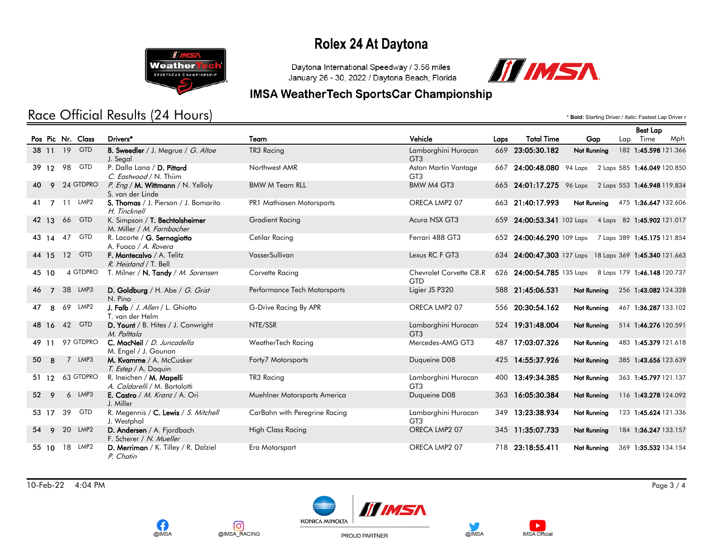

### Race Official Results (24 Hours)

Daytona International Speedway / 3.56 miles January 26 - 30, 2022 / Daytona Beach, Florida



#### **IMSA WeatherTech SportsCar Championship**

\* **Bold:** Starting Driver / *Italic:* Fastest Lap Driver r

|                 |                |    |                   |                                                                  |                               |                                         |      |                          |                                                        |     | <b>Best Lap</b>             |     |
|-----------------|----------------|----|-------------------|------------------------------------------------------------------|-------------------------------|-----------------------------------------|------|--------------------------|--------------------------------------------------------|-----|-----------------------------|-----|
|                 |                |    | Pos Pic Nr. Class | Drivers*                                                         | Team                          | Vehicle                                 | Laps | <b>Total Time</b>        | Gap                                                    | Lap | Time                        | Mph |
|                 | 38 11          |    | 19 GTD            | B. Sweedler / J. Megrue / G. Altoe<br>J. Segal                   | TR3 Racing                    | Lamborghini Huracan<br>GT <sub>3</sub>  |      | 669 23:05:30.182         | Not Running                                            |     | 182 1:45.598 121.366        |     |
|                 |                |    | 39 12 98 GTD      | P. Dalla Lana / D. Pittard<br>C. Eastwood / N. Thiim             | Northwest AMR                 | Aston Martin Vantage<br>GT <sub>3</sub> |      | 667 24:00:48.080 94 Laps |                                                        |     | 2 Laps 585 1:46.049 120.850 |     |
| 40.             |                |    | 9 24 GTDPRO       | P. Eng / M. Wittmann / N. Yelloly<br>S. van der Linde            | <b>BMW M Team RLL</b>         | BMW M4 GT3                              |      |                          | 665 24:01:17.275 96 Laps 2 Laps 553 1:46.948 119.834   |     |                             |     |
| 41              | $\overline{7}$ |    | 11 LMP2           | S. Thomas / J. Pierson / J. Bomarito<br>H. Tincknell             | PR1 Mathiasen Motorsports     | ORECA LMP2 07                           |      | 663 21:40:17.993         | Not Running                                            |     | 475 1:36.647 132.606        |     |
|                 | 42 13          |    | 66 GTD            | K. Simpson / T. Bechtolsheimer<br>M. Miller / M. Farnbacher      | <b>Gradient Racing</b>        | Acura NSX GT3                           |      |                          | 659 24:00:53.341 102 Laps 4 Laps 82 1:45.902 121.017   |     |                             |     |
|                 | 43 14          | 47 | GTD               | R. Lacorte / G. Sernagiotto<br>A. Fuoco / A. Rovera              | Cetilar Racing                | Ferrari 488 GT3                         |      |                          | 652 24:00:46.290 109 Laps 7 Laps 389 1:45.175 121.854  |     |                             |     |
|                 | 44 15          |    | 12 GTD            | F. Montecalvo / A. Telitz<br>R. Heistand / T. Bell               | VasserSullivan                | Lexus RC F GT3                          |      |                          | 634 24:00:47.303 127 Laps 18 Laps 369 1:45.340 121.663 |     |                             |     |
|                 | 45 10          |    | 4 GTDPRO          | T. Milner / N. Tandy / M. Sorensen                               | Corvette Racing               | Chevrolet Corvette C8.R<br><b>GTD</b>   |      |                          | 626 24:00:54.785 135 Laps 8 Laps 179 1:46.148 120.737  |     |                             |     |
| 46              | $\overline{7}$ |    | 38 LMP3           | D. Goldburg / H. Abe / G. Grist<br>N. Pino                       | Performance Tech Motorsports  | Ligier JS P320                          |      | 588 21:45:06.531         | Not Running                                            |     | 256 1:43.082 124.328        |     |
| 47              | 8              | 69 | LMP2              | J. Falb / J. Allen / L. Ghiotto<br>T. van der Helm               | G-Drive Racing By APR         | ORECA LMP2 07                           |      | 556 20:30:54.162         | Not Running                                            |     | 467 1:36.287 133.102        |     |
|                 | 48 16          |    | 42 GTD            | D. Yount / B. Hites / J. Conwright<br>M. Palttala                | NTE/SSR                       | Lamborghini Huracan<br>GT <sub>3</sub>  |      | 524 19:31:48.004         | Not Running                                            |     | 514 1:46.276 120.591        |     |
|                 | 49 11          |    | 97 GTDPRO         | C. MacNeil / D. Juncadella<br>M. Engel / J. Gounon               | WeatherTech Racing            | Mercedes-AMG GT3                        | 487  | 17:03:07.326             | Not Running                                            |     | 483 1:45.379 121.618        |     |
| 50              | 8              |    | 7 LMP3            | M. Kvamme / A. McCusker<br>T. Estep / A. Doquin                  | Forty7 Motorsports            | Duqueine D08                            | 425  | 14:55:37.926             | <b>Not Running</b>                                     |     | 385 1:43.656 123.639        |     |
|                 | 51 12          |    | 63 GTDPRO         | R. Ineichen / <b>M. Mapelli</b><br>A. Caldarelli / M. Bortolotti | TR3 Racing                    | Lamborghini Huracan<br>GT <sub>3</sub>  | 400  | 13:49:34.385             | <b>Not Running</b>                                     |     | 363 1:45.797 121.137        |     |
| 52 <sup>°</sup> | 9              |    | 6 LMP3            | E. Castro / M. Kranz / A. Ori<br>J. Miller                       | Muehlner Motorsports America  | Duqueine D08                            | 363  | 16:05:30.384             | <b>Not Running</b>                                     |     | 116 1:43.278 124.092        |     |
|                 | 53 17          | 39 | <b>GTD</b>        | R. Megennis / C. Lewis / S. Mitchell<br>J. Westphal              | CarBahn with Peregrine Racing | Lamborghini Huracan<br>GT <sub>3</sub>  | 349  | 13:23:38.934             | Not Running                                            |     | 123 1:45.624 121.336        |     |
| 54              | 9              |    | 20 LMP2           | D. Andersen / A. Fjordbach<br>F. Scherer / N. Mueller            | <b>High Class Racing</b>      | ORECA LMP2 07                           | 345  | 11:35:07.733             | <b>Not Running</b>                                     |     | 184 1:36.247 133.157        |     |
|                 | 55 10          |    | 18 LMP2           | D. Merriman / K. Tilley / R. Dalziel<br>P. Chatin                | Era Motorsport                | ORECA LMP2 07                           |      | 718 23:18:55.411         | Not Running                                            |     | 369 1:35.532 134.154        |     |

10-Feb-22 4:04 PM Page 3 / 4







PROUD PARTNER